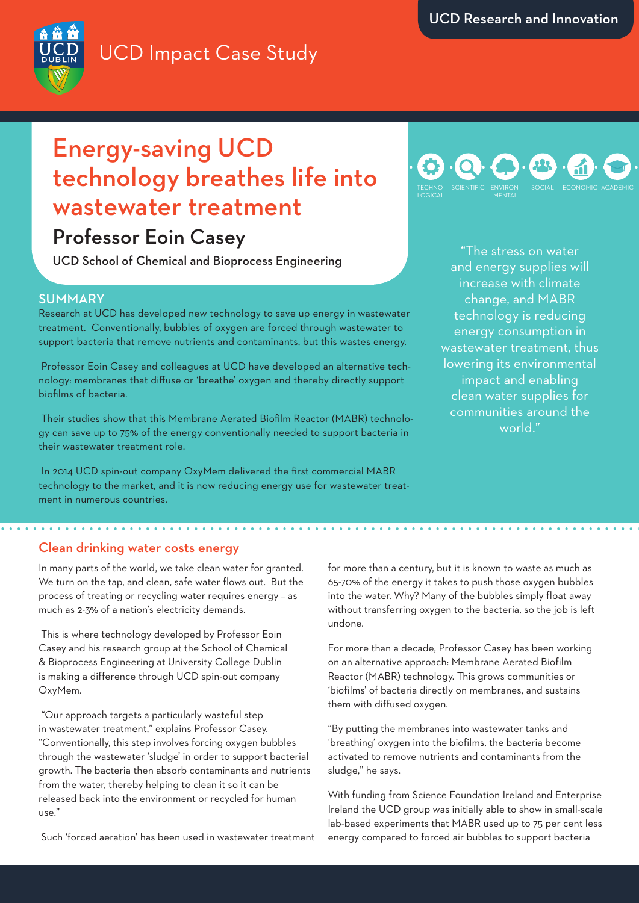## UCD Impact Case Study



# Energy-saving UCD technology breathes life into wastewater treatment

## Professor Eoin Casey

UCD School of Chemical and Bioprocess Engineering

## **SUMMARY**

Research at UCD has developed new technology to save up energy in wastewater treatment. Conventionally, bubbles of oxygen are forced through wastewater to support bacteria that remove nutrients and contaminants, but this wastes energy.

 Professor Eoin Casey and colleagues at UCD have developed an alternative technology: membranes that diffuse or 'breathe' oxygen and thereby directly support biofilms of bacteria.

 Their studies show that this Membrane Aerated Biofilm Reactor (MABR) technology can save up to 75% of the energy conventionally needed to support bacteria in their wastewater treatment role.

 In 2014 UCD spin-out company OxyMem delivered the first commercial MABR technology to the market, and it is now reducing energy use for wastewater treatment in numerous countries.

#### TECHNO-LOGICAL SCIENTIFIC ENVIRON-MENTAL SOCIAL ECONOMIC ACADEMIC

"The stress on water and energy supplies will increase with climate change, and MABR technology is reducing energy consumption in wastewater treatment, thus lowering its environmental impact and enabling clean water supplies for communities around the world."

### Clean drinking water costs energy

In many parts of the world, we take clean water for granted. We turn on the tap, and clean, safe water flows out. But the process of treating or recycling water requires energy – as much as 2-3% of a nation's electricity demands.

 This is where technology developed by Professor Eoin Casey and his research group at the School of Chemical & Bioprocess Engineering at University College Dublin is making a difference through UCD spin-out company OxyMem.

 "Our approach targets a particularly wasteful step in wastewater treatment," explains Professor Casey. "Conventionally, this step involves forcing oxygen bubbles through the wastewater 'sludge' in order to support bacterial growth. The bacteria then absorb contaminants and nutrients from the water, thereby helping to clean it so it can be released back into the environment or recycled for human use."

Such 'forced aeration' has been used in wastewater treatment

for more than a century, but it is known to waste as much as 65-70% of the energy it takes to push those oxygen bubbles into the water. Why? Many of the bubbles simply float away without transferring oxygen to the bacteria, so the job is left undone.

For more than a decade, Professor Casey has been working on an alternative approach: Membrane Aerated Biofilm Reactor (MABR) technology. This grows communities or 'biofilms' of bacteria directly on membranes, and sustains them with diffused oxygen.

"By putting the membranes into wastewater tanks and 'breathing' oxygen into the biofilms, the bacteria become activated to remove nutrients and contaminants from the sludge," he says.

With funding from Science Foundation Ireland and Enterprise Ireland the UCD group was initially able to show in small-scale lab-based experiments that MABR used up to 75 per cent less energy compared to forced air bubbles to support bacteria